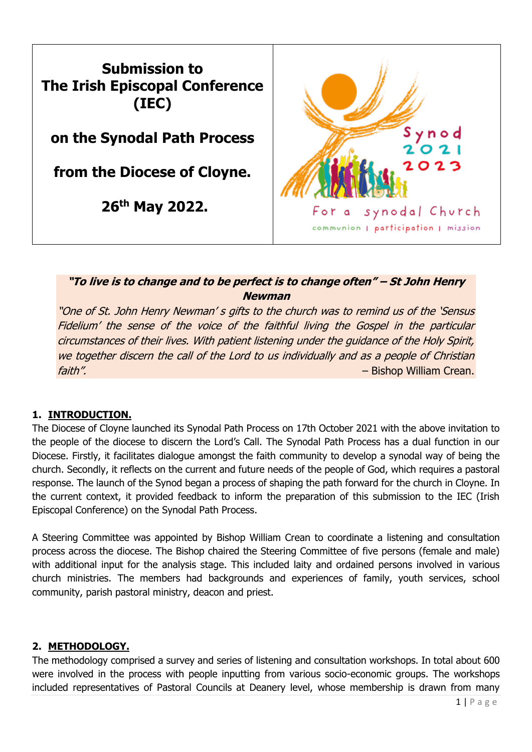

# **"To live is to change and to be perfect is to change often" – St John Henry Newman**

"One of St. John Henry Newman' s gifts to the church was to remind us of the 'Sensus Fidelium' the sense of the voice of the faithful living the Gospel in the particular circumstances of their lives. With patient listening under the guidance of the Holy Spirit, we together discern the call of the Lord to us individually and as a people of Christian faith". – Bishop William Crean.

# **1. INTRODUCTION.**

The Diocese of Cloyne launched its Synodal Path Process on 17th October 2021 with the above invitation to the people of the diocese to discern the Lord's Call. The Synodal Path Process has a dual function in our Diocese. Firstly, it facilitates dialogue amongst the faith community to develop a synodal way of being the church. Secondly, it reflects on the current and future needs of the people of God, which requires a pastoral response. The launch of the Synod began a process of shaping the path forward for the church in Cloyne. In the current context, it provided feedback to inform the preparation of this submission to the IEC (Irish Episcopal Conference) on the Synodal Path Process.

A Steering Committee was appointed by Bishop William Crean to coordinate a listening and consultation process across the diocese. The Bishop chaired the Steering Committee of five persons (female and male) with additional input for the analysis stage. This included laity and ordained persons involved in various church ministries. The members had backgrounds and experiences of family, youth services, school community, parish pastoral ministry, deacon and priest.

# **2. METHODOLOGY.**

The methodology comprised a survey and series of listening and consultation workshops. In total about 600 were involved in the process with people inputting from various socio-economic groups. The workshops included representatives of Pastoral Councils at Deanery level, whose membership is drawn from many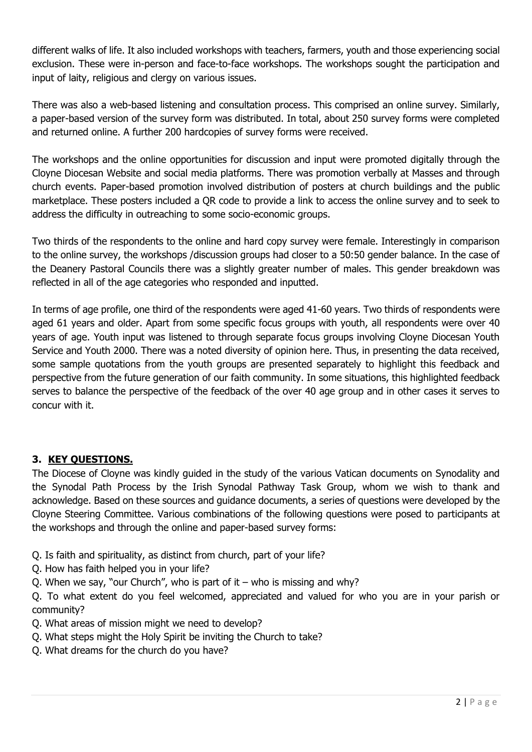different walks of life. It also included workshops with teachers, farmers, youth and those experiencing social exclusion. These were in-person and face-to-face workshops. The workshops sought the participation and input of laity, religious and clergy on various issues.

There was also a web-based listening and consultation process. This comprised an online survey. Similarly, a paper-based version of the survey form was distributed. In total, about 250 survey forms were completed and returned online. A further 200 hardcopies of survey forms were received.

The workshops and the online opportunities for discussion and input were promoted digitally through the Cloyne Diocesan Website and social media platforms. There was promotion verbally at Masses and through church events. Paper-based promotion involved distribution of posters at church buildings and the public marketplace. These posters included a QR code to provide a link to access the online survey and to seek to address the difficulty in outreaching to some socio-economic groups.

Two thirds of the respondents to the online and hard copy survey were female. Interestingly in comparison to the online survey, the workshops /discussion groups had closer to a 50:50 gender balance. In the case of the Deanery Pastoral Councils there was a slightly greater number of males. This gender breakdown was reflected in all of the age categories who responded and inputted.

In terms of age profile, one third of the respondents were aged 41-60 years. Two thirds of respondents were aged 61 years and older. Apart from some specific focus groups with youth, all respondents were over 40 years of age. Youth input was listened to through separate focus groups involving Cloyne Diocesan Youth Service and Youth 2000. There was a noted diversity of opinion here. Thus, in presenting the data received, some sample quotations from the youth groups are presented separately to highlight this feedback and perspective from the future generation of our faith community. In some situations, this highlighted feedback serves to balance the perspective of the feedback of the over 40 age group and in other cases it serves to concur with it.

# **3. KEY QUESTIONS.**

The Diocese of Cloyne was kindly guided in the study of the various Vatican documents on Synodality and the Synodal Path Process by the Irish Synodal Pathway Task Group, whom we wish to thank and acknowledge. Based on these sources and guidance documents, a series of questions were developed by the Cloyne Steering Committee. Various combinations of the following questions were posed to participants at the workshops and through the online and paper-based survey forms:

- Q. Is faith and spirituality, as distinct from church, part of your life?
- Q. How has faith helped you in your life?
- Q. When we say, "our Church", who is part of it who is missing and why?

Q. To what extent do you feel welcomed, appreciated and valued for who you are in your parish or community?

- Q. What areas of mission might we need to develop?
- Q. What steps might the Holy Spirit be inviting the Church to take?
- Q. What dreams for the church do you have?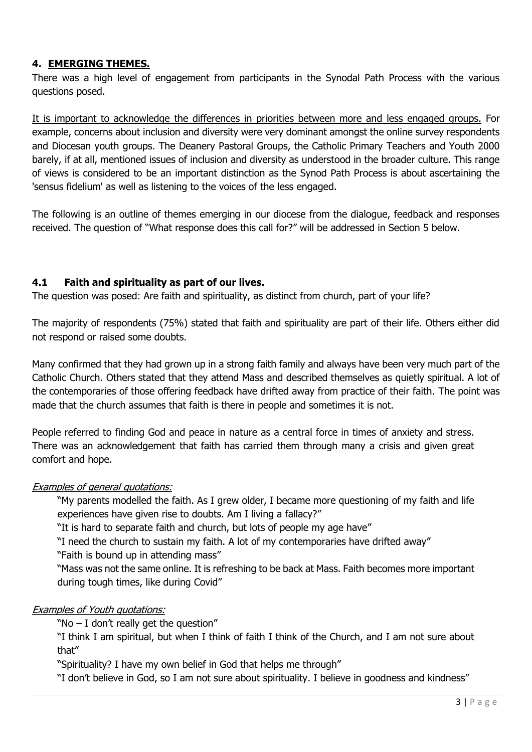# **4. EMERGING THEMES.**

There was a high level of engagement from participants in the Synodal Path Process with the various questions posed.

It is important to acknowledge the differences in priorities between more and less engaged groups. For example, concerns about inclusion and diversity were very dominant amongst the online survey respondents and Diocesan youth groups. The Deanery Pastoral Groups, the Catholic Primary Teachers and Youth 2000 barely, if at all, mentioned issues of inclusion and diversity as understood in the broader culture. This range of views is considered to be an important distinction as the Synod Path Process is about ascertaining the 'sensus fidelium' as well as listening to the voices of the less engaged.

The following is an outline of themes emerging in our diocese from the dialogue, feedback and responses received. The question of "What response does this call for?" will be addressed in Section 5 below.

### **4.1 Faith and spirituality as part of our lives.**

The question was posed: Are faith and spirituality, as distinct from church, part of your life?

The majority of respondents (75%) stated that faith and spirituality are part of their life. Others either did not respond or raised some doubts.

Many confirmed that they had grown up in a strong faith family and always have been very much part of the Catholic Church. Others stated that they attend Mass and described themselves as quietly spiritual. A lot of the contemporaries of those offering feedback have drifted away from practice of their faith. The point was made that the church assumes that faith is there in people and sometimes it is not.

People referred to finding God and peace in nature as a central force in times of anxiety and stress. There was an acknowledgement that faith has carried them through many a crisis and given great comfort and hope.

### Examples of general quotations:

"My parents modelled the faith. As I grew older, I became more questioning of my faith and life experiences have given rise to doubts. Am I living a fallacy?"

"It is hard to separate faith and church, but lots of people my age have"

"I need the church to sustain my faith. A lot of my contemporaries have drifted away"

"Faith is bound up in attending mass"

"Mass was not the same online. It is refreshing to be back at Mass. Faith becomes more important during tough times, like during Covid"

### Examples of Youth quotations:

"No  $-$  I don't really get the question"

"I think I am spiritual, but when I think of faith I think of the Church, and I am not sure about that"

"Spirituality? I have my own belief in God that helps me through"

"I don't believe in God, so I am not sure about spirituality. I believe in goodness and kindness"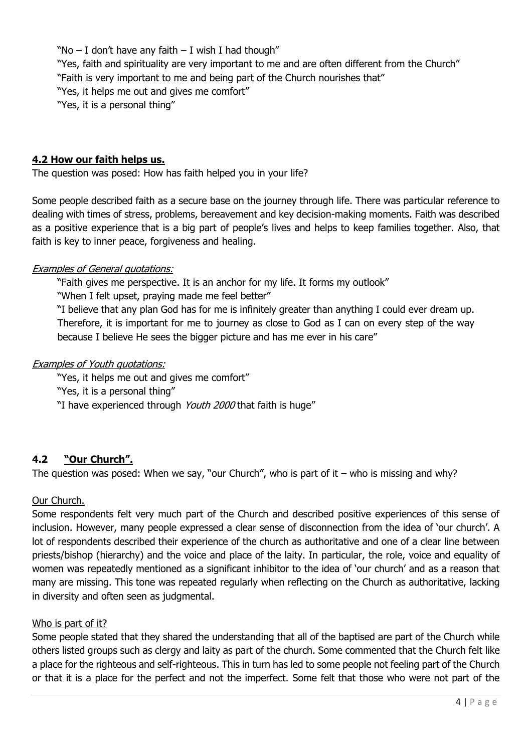"No  $-$  I don't have any faith  $-$  I wish I had though" "Yes, faith and spirituality are very important to me and are often different from the Church" "Faith is very important to me and being part of the Church nourishes that" "Yes, it helps me out and gives me comfort" "Yes, it is a personal thing"

## **4.2 How our faith helps us.**

The question was posed: How has faith helped you in your life?

Some people described faith as a secure base on the journey through life. There was particular reference to dealing with times of stress, problems, bereavement and key decision-making moments. Faith was described as a positive experience that is a big part of people's lives and helps to keep families together. Also, that faith is key to inner peace, forgiveness and healing.

### Examples of General quotations:

"Faith gives me perspective. It is an anchor for my life. It forms my outlook"

"When I felt upset, praying made me feel better"

"I believe that any plan God has for me is infinitely greater than anything I could ever dream up. Therefore, it is important for me to journey as close to God as I can on every step of the way because I believe He sees the bigger picture and has me ever in his care"

### Examples of Youth quotations:

"Yes, it helps me out and gives me comfort"

"Yes, it is a personal thing"

"I have experienced through Youth 2000 that faith is huge"

### **4.2 "Our Church".**

The question was posed: When we say, "our Church", who is part of it – who is missing and why?

### Our Church.

Some respondents felt very much part of the Church and described positive experiences of this sense of inclusion. However, many people expressed a clear sense of disconnection from the idea of 'our church'. A lot of respondents described their experience of the church as authoritative and one of a clear line between priests/bishop (hierarchy) and the voice and place of the laity. In particular, the role, voice and equality of women was repeatedly mentioned as a significant inhibitor to the idea of 'our church' and as a reason that many are missing. This tone was repeated regularly when reflecting on the Church as authoritative, lacking in diversity and often seen as judgmental.

#### Who is part of it?

Some people stated that they shared the understanding that all of the baptised are part of the Church while others listed groups such as clergy and laity as part of the church. Some commented that the Church felt like a place for the righteous and self-righteous. This in turn has led to some people not feeling part of the Church or that it is a place for the perfect and not the imperfect. Some felt that those who were not part of the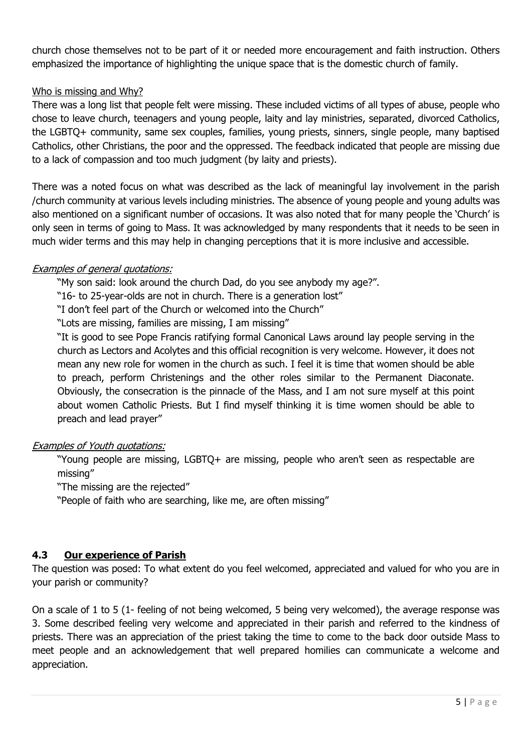church chose themselves not to be part of it or needed more encouragement and faith instruction. Others emphasized the importance of highlighting the unique space that is the domestic church of family.

## Who is missing and Why?

There was a long list that people felt were missing. These included victims of all types of abuse, people who chose to leave church, teenagers and young people, laity and lay ministries, separated, divorced Catholics, the LGBTQ+ community, same sex couples, families, young priests, sinners, single people, many baptised Catholics, other Christians, the poor and the oppressed. The feedback indicated that people are missing due to a lack of compassion and too much judgment (by laity and priests).

There was a noted focus on what was described as the lack of meaningful lay involvement in the parish /church community at various levels including ministries. The absence of young people and young adults was also mentioned on a significant number of occasions. It was also noted that for many people the 'Church' is only seen in terms of going to Mass. It was acknowledged by many respondents that it needs to be seen in much wider terms and this may help in changing perceptions that it is more inclusive and accessible.

### Examples of general quotations:

"My son said: look around the church Dad, do you see anybody my age?".

"16- to 25-year-olds are not in church. There is a generation lost"

"I don't feel part of the Church or welcomed into the Church"

"Lots are missing, families are missing, I am missing"

"It is good to see Pope Francis ratifying formal Canonical Laws around lay people serving in the church as Lectors and Acolytes and this official recognition is very welcome. However, it does not mean any new role for women in the church as such. I feel it is time that women should be able to preach, perform Christenings and the other roles similar to the Permanent Diaconate. Obviously, the consecration is the pinnacle of the Mass, and I am not sure myself at this point about women Catholic Priests. But I find myself thinking it is time women should be able to preach and lead prayer"

### Examples of Youth quotations:

"Young people are missing, LGBTQ+ are missing, people who aren't seen as respectable are missing"

"The missing are the rejected"

"People of faith who are searching, like me, are often missing"

### **4.3 Our experience of Parish**

The question was posed: To what extent do you feel welcomed, appreciated and valued for who you are in your parish or community?

On a scale of 1 to 5 (1- feeling of not being welcomed, 5 being very welcomed), the average response was 3. Some described feeling very welcome and appreciated in their parish and referred to the kindness of priests. There was an appreciation of the priest taking the time to come to the back door outside Mass to meet people and an acknowledgement that well prepared homilies can communicate a welcome and appreciation.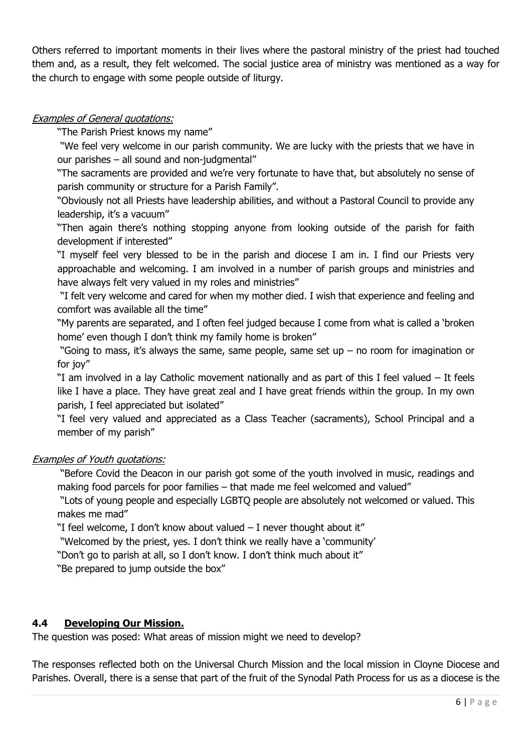Others referred to important moments in their lives where the pastoral ministry of the priest had touched them and, as a result, they felt welcomed. The social justice area of ministry was mentioned as a way for the church to engage with some people outside of liturgy.

## Examples of General quotations:

"The Parish Priest knows my name"

"We feel very welcome in our parish community. We are lucky with the priests that we have in our parishes – all sound and non-judgmental"

"The sacraments are provided and we're very fortunate to have that, but absolutely no sense of parish community or structure for a Parish Family".

"Obviously not all Priests have leadership abilities, and without a Pastoral Council to provide any leadership, it's a vacuum"

"Then again there's nothing stopping anyone from looking outside of the parish for faith development if interested"

"I myself feel very blessed to be in the parish and diocese I am in. I find our Priests very approachable and welcoming. I am involved in a number of parish groups and ministries and have always felt very valued in my roles and ministries"

"I felt very welcome and cared for when my mother died. I wish that experience and feeling and comfort was available all the time"

"My parents are separated, and I often feel judged because I come from what is called a 'broken home' even though I don't think my family home is broken"

"Going to mass, it's always the same, same people, same set up – no room for imagination or for joy"

"I am involved in a lay Catholic movement nationally and as part of this I feel valued – It feels like I have a place. They have great zeal and I have great friends within the group. In my own parish, I feel appreciated but isolated"

"I feel very valued and appreciated as a Class Teacher (sacraments), School Principal and a member of my parish"

### Examples of Youth quotations:

"Before Covid the Deacon in our parish got some of the youth involved in music, readings and making food parcels for poor families – that made me feel welcomed and valued"

"Lots of young people and especially LGBTQ people are absolutely not welcomed or valued. This makes me mad"

"I feel welcome, I don't know about valued – I never thought about it"

"Welcomed by the priest, yes. I don't think we really have a 'community'

"Don't go to parish at all, so I don't know. I don't think much about it"

"Be prepared to jump outside the box"

# **4.4 Developing Our Mission.**

The question was posed: What areas of mission might we need to develop?

The responses reflected both on the Universal Church Mission and the local mission in Cloyne Diocese and Parishes. Overall, there is a sense that part of the fruit of the Synodal Path Process for us as a diocese is the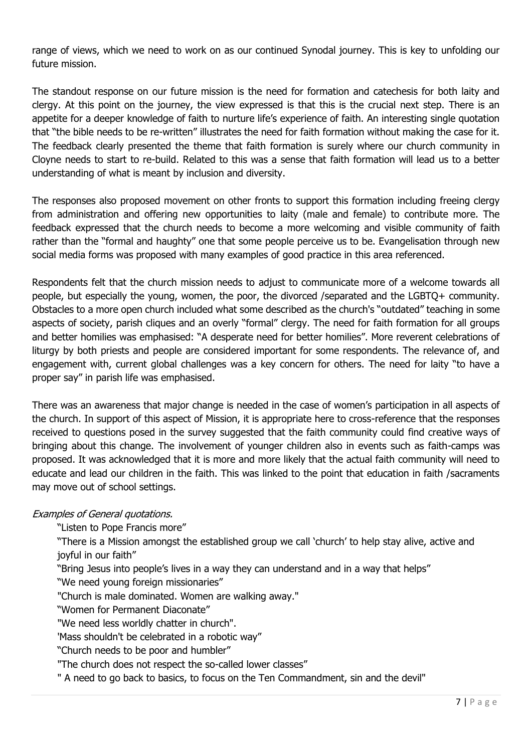range of views, which we need to work on as our continued Synodal journey. This is key to unfolding our future mission.

The standout response on our future mission is the need for formation and catechesis for both laity and clergy. At this point on the journey, the view expressed is that this is the crucial next step. There is an appetite for a deeper knowledge of faith to nurture life's experience of faith. An interesting single quotation that "the bible needs to be re-written" illustrates the need for faith formation without making the case for it. The feedback clearly presented the theme that faith formation is surely where our church community in Cloyne needs to start to re-build. Related to this was a sense that faith formation will lead us to a better understanding of what is meant by inclusion and diversity.

The responses also proposed movement on other fronts to support this formation including freeing clergy from administration and offering new opportunities to laity (male and female) to contribute more. The feedback expressed that the church needs to become a more welcoming and visible community of faith rather than the "formal and haughty" one that some people perceive us to be. Evangelisation through new social media forms was proposed with many examples of good practice in this area referenced.

Respondents felt that the church mission needs to adjust to communicate more of a welcome towards all people, but especially the young, women, the poor, the divorced /separated and the LGBTQ+ community. Obstacles to a more open church included what some described as the church's "outdated" teaching in some aspects of society, parish cliques and an overly "formal" clergy. The need for faith formation for all groups and better homilies was emphasised: "A desperate need for better homilies". More reverent celebrations of liturgy by both priests and people are considered important for some respondents. The relevance of, and engagement with, current global challenges was a key concern for others. The need for laity "to have a proper say" in parish life was emphasised.

There was an awareness that major change is needed in the case of women's participation in all aspects of the church. In support of this aspect of Mission, it is appropriate here to cross-reference that the responses received to questions posed in the survey suggested that the faith community could find creative ways of bringing about this change. The involvement of younger children also in events such as faith-camps was proposed. It was acknowledged that it is more and more likely that the actual faith community will need to educate and lead our children in the faith. This was linked to the point that education in faith /sacraments may move out of school settings.

### Examples of General quotations.

"Listen to Pope Francis more"

"There is a Mission amongst the established group we call 'church' to help stay alive, active and joyful in our faith"

"Bring Jesus into people's lives in a way they can understand and in a way that helps"

"We need young foreign missionaries"

"Church is male dominated. Women are walking away."

"Women for Permanent Diaconate"

"We need less worldly chatter in church".

'Mass shouldn't be celebrated in a robotic way"

"Church needs to be poor and humbler"

"The church does not respect the so-called lower classes"

" A need to go back to basics, to focus on the Ten Commandment, sin and the devil"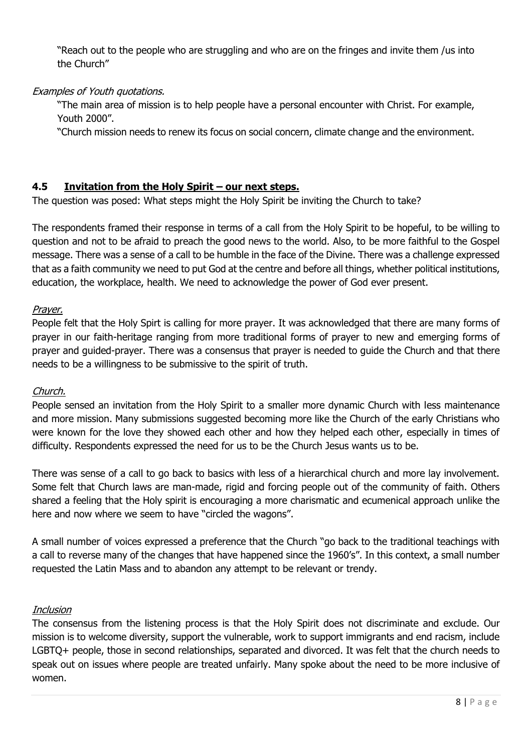"Reach out to the people who are struggling and who are on the fringes and invite them /us into the Church"

## Examples of Youth quotations.

"The main area of mission is to help people have a personal encounter with Christ. For example, Youth 2000".

"Church mission needs to renew its focus on social concern, climate change and the environment.

## **4.5 Invitation from the Holy Spirit – our next steps.**

The question was posed: What steps might the Holy Spirit be inviting the Church to take?

The respondents framed their response in terms of a call from the Holy Spirit to be hopeful, to be willing to question and not to be afraid to preach the good news to the world. Also, to be more faithful to the Gospel message. There was a sense of a call to be humble in the face of the Divine. There was a challenge expressed that as a faith community we need to put God at the centre and before all things, whether political institutions, education, the workplace, health. We need to acknowledge the power of God ever present.

### Prayer.

People felt that the Holy Spirt is calling for more prayer. It was acknowledged that there are many forms of prayer in our faith-heritage ranging from more traditional forms of prayer to new and emerging forms of prayer and guided-prayer. There was a consensus that prayer is needed to guide the Church and that there needs to be a willingness to be submissive to the spirit of truth.

### Church.

People sensed an invitation from the Holy Spirit to a smaller more dynamic Church with less maintenance and more mission. Many submissions suggested becoming more like the Church of the early Christians who were known for the love they showed each other and how they helped each other, especially in times of difficulty. Respondents expressed the need for us to be the Church Jesus wants us to be.

There was sense of a call to go back to basics with less of a hierarchical church and more lay involvement. Some felt that Church laws are man-made, rigid and forcing people out of the community of faith. Others shared a feeling that the Holy spirit is encouraging a more charismatic and ecumenical approach unlike the here and now where we seem to have "circled the wagons".

A small number of voices expressed a preference that the Church "go back to the traditional teachings with a call to reverse many of the changes that have happened since the 1960's". In this context, a small number requested the Latin Mass and to abandon any attempt to be relevant or trendy.

### **Inclusion**

The consensus from the listening process is that the Holy Spirit does not discriminate and exclude. Our mission is to welcome diversity, support the vulnerable, work to support immigrants and end racism, include LGBTQ+ people, those in second relationships, separated and divorced. It was felt that the church needs to speak out on issues where people are treated unfairly. Many spoke about the need to be more inclusive of women.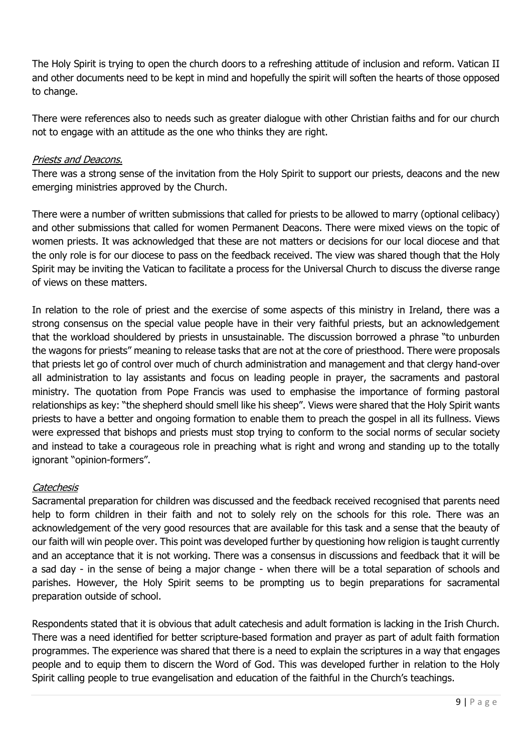The Holy Spirit is trying to open the church doors to a refreshing attitude of inclusion and reform. Vatican II and other documents need to be kept in mind and hopefully the spirit will soften the hearts of those opposed to change.

There were references also to needs such as greater dialogue with other Christian faiths and for our church not to engage with an attitude as the one who thinks they are right.

### Priests and Deacons.

There was a strong sense of the invitation from the Holy Spirit to support our priests, deacons and the new emerging ministries approved by the Church.

There were a number of written submissions that called for priests to be allowed to marry (optional celibacy) and other submissions that called for women Permanent Deacons. There were mixed views on the topic of women priests. It was acknowledged that these are not matters or decisions for our local diocese and that the only role is for our diocese to pass on the feedback received. The view was shared though that the Holy Spirit may be inviting the Vatican to facilitate a process for the Universal Church to discuss the diverse range of views on these matters.

In relation to the role of priest and the exercise of some aspects of this ministry in Ireland, there was a strong consensus on the special value people have in their very faithful priests, but an acknowledgement that the workload shouldered by priests in unsustainable. The discussion borrowed a phrase "to unburden the wagons for priests" meaning to release tasks that are not at the core of priesthood. There were proposals that priests let go of control over much of church administration and management and that clergy hand-over all administration to lay assistants and focus on leading people in prayer, the sacraments and pastoral ministry. The quotation from Pope Francis was used to emphasise the importance of forming pastoral relationships as key: "the shepherd should smell like his sheep". Views were shared that the Holy Spirit wants priests to have a better and ongoing formation to enable them to preach the gospel in all its fullness. Views were expressed that bishops and priests must stop trying to conform to the social norms of secular society and instead to take a courageous role in preaching what is right and wrong and standing up to the totally ignorant "opinion-formers".

### **Catechesis**

Sacramental preparation for children was discussed and the feedback received recognised that parents need help to form children in their faith and not to solely rely on the schools for this role. There was an acknowledgement of the very good resources that are available for this task and a sense that the beauty of our faith will win people over. This point was developed further by questioning how religion is taught currently and an acceptance that it is not working. There was a consensus in discussions and feedback that it will be a sad day - in the sense of being a major change - when there will be a total separation of schools and parishes. However, the Holy Spirit seems to be prompting us to begin preparations for sacramental preparation outside of school.

Respondents stated that it is obvious that adult catechesis and adult formation is lacking in the Irish Church. There was a need identified for better scripture-based formation and prayer as part of adult faith formation programmes. The experience was shared that there is a need to explain the scriptures in a way that engages people and to equip them to discern the Word of God. This was developed further in relation to the Holy Spirit calling people to true evangelisation and education of the faithful in the Church's teachings.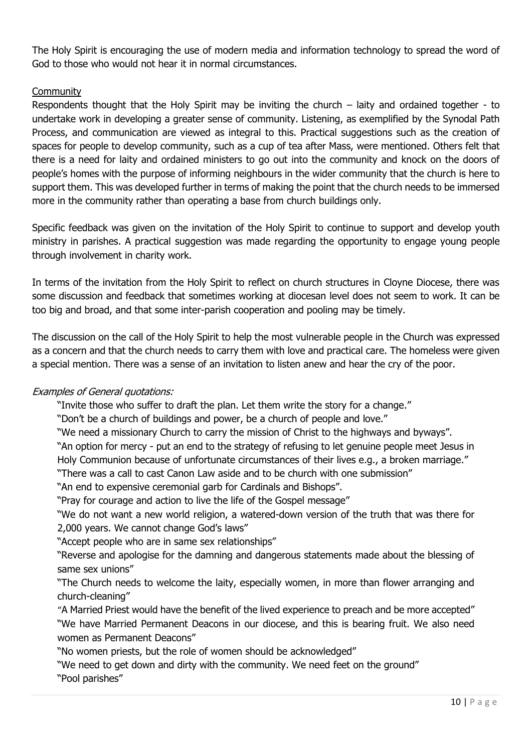The Holy Spirit is encouraging the use of modern media and information technology to spread the word of God to those who would not hear it in normal circumstances.

# **Community**

Respondents thought that the Holy Spirit may be inviting the church  $-$  laity and ordained together - to undertake work in developing a greater sense of community. Listening, as exemplified by the Synodal Path Process, and communication are viewed as integral to this. Practical suggestions such as the creation of spaces for people to develop community, such as a cup of tea after Mass, were mentioned. Others felt that there is a need for laity and ordained ministers to go out into the community and knock on the doors of people's homes with the purpose of informing neighbours in the wider community that the church is here to support them. This was developed further in terms of making the point that the church needs to be immersed more in the community rather than operating a base from church buildings only.

Specific feedback was given on the invitation of the Holy Spirit to continue to support and develop youth ministry in parishes. A practical suggestion was made regarding the opportunity to engage young people through involvement in charity work.

In terms of the invitation from the Holy Spirit to reflect on church structures in Cloyne Diocese, there was some discussion and feedback that sometimes working at diocesan level does not seem to work. It can be too big and broad, and that some inter-parish cooperation and pooling may be timely.

The discussion on the call of the Holy Spirit to help the most vulnerable people in the Church was expressed as a concern and that the church needs to carry them with love and practical care. The homeless were given a special mention. There was a sense of an invitation to listen anew and hear the cry of the poor.

### Examples of General quotations:

"Invite those who suffer to draft the plan. Let them write the story for a change."

"Don't be a church of buildings and power, be a church of people and love."

"We need a missionary Church to carry the mission of Christ to the highways and byways".

"An option for mercy - put an end to the strategy of refusing to let genuine people meet Jesus in Holy Communion because of unfortunate circumstances of their lives e.g., a broken marriage."

"There was a call to cast Canon Law aside and to be church with one submission"

"An end to expensive ceremonial garb for Cardinals and Bishops".

"Pray for courage and action to live the life of the Gospel message"

"We do not want a new world religion, a watered-down version of the truth that was there for 2,000 years. We cannot change God's laws"

"Accept people who are in same sex relationships"

"Reverse and apologise for the damning and dangerous statements made about the blessing of same sex unions"

"The Church needs to welcome the laity, especially women, in more than flower arranging and church-cleaning"

"A Married Priest would have the benefit of the lived experience to preach and be more accepted" "We have Married Permanent Deacons in our diocese, and this is bearing fruit. We also need women as Permanent Deacons"

"No women priests, but the role of women should be acknowledged"

"We need to get down and dirty with the community. We need feet on the ground" "Pool parishes"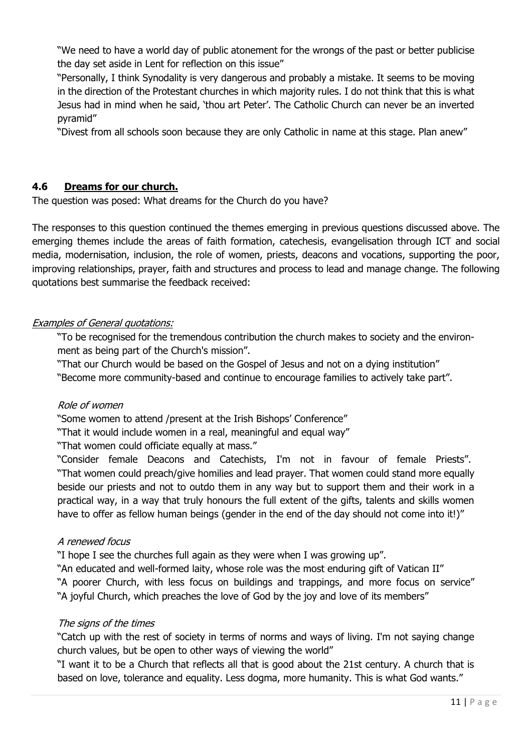"We need to have a world day of public atonement for the wrongs of the past or better publicise the day set aside in Lent for reflection on this issue"

"Personally, I think Synodality is very dangerous and probably a mistake. It seems to be moving in the direction of the Protestant churches in which majority rules. I do not think that this is what Jesus had in mind when he said, 'thou art Peter'. The Catholic Church can never be an inverted pyramid"

"Divest from all schools soon because they are only Catholic in name at this stage. Plan anew"

# **4.6 Dreams for our church.**

The question was posed: What dreams for the Church do you have?

The responses to this question continued the themes emerging in previous questions discussed above. The emerging themes include the areas of faith formation, catechesis, evangelisation through ICT and social media, modernisation, inclusion, the role of women, priests, deacons and vocations, supporting the poor, improving relationships, prayer, faith and structures and process to lead and manage change. The following quotations best summarise the feedback received:

# Examples of General quotations:

"To be recognised for the tremendous contribution the church makes to society and the environment as being part of the Church's mission".

"That our Church would be based on the Gospel of Jesus and not on a dying institution"

"Become more community-based and continue to encourage families to actively take part".

### Role of women

"Some women to attend /present at the Irish Bishops' Conference"

"That it would include women in a real, meaningful and equal way"

"That women could officiate equally at mass."

"Consider female Deacons and Catechists, I'm not in favour of female Priests". "That women could preach/give homilies and lead prayer. That women could stand more equally beside our priests and not to outdo them in any way but to support them and their work in a practical way, in a way that truly honours the full extent of the gifts, talents and skills women have to offer as fellow human beings (gender in the end of the day should not come into it!)"

# A renewed focus

"I hope I see the churches full again as they were when I was growing up".

"An educated and well-formed laity, whose role was the most enduring gift of Vatican II" "A poorer Church, with less focus on buildings and trappings, and more focus on service" "A joyful Church, which preaches the love of God by the joy and love of its members"

# The signs of the times

"Catch up with the rest of society in terms of norms and ways of living. I'm not saying change church values, but be open to other ways of viewing the world"

"I want it to be a Church that reflects all that is good about the 21st century. A church that is based on love, tolerance and equality. Less dogma, more humanity. This is what God wants."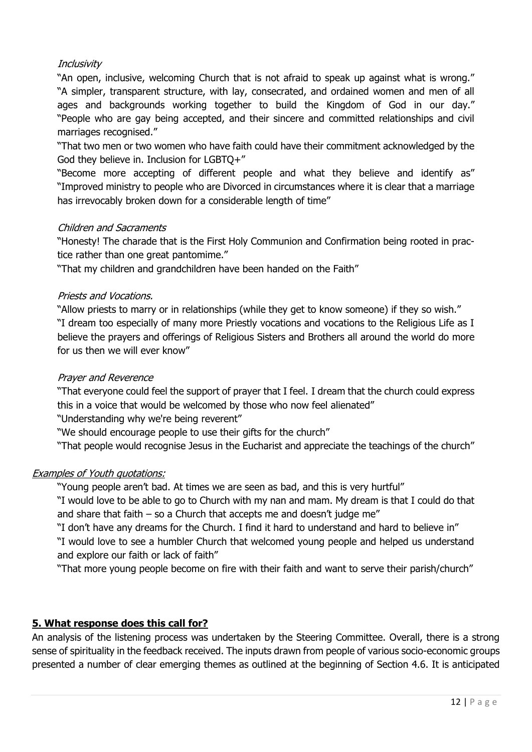## **Inclusivity**

"An open, inclusive, welcoming Church that is not afraid to speak up against what is wrong." "A simpler, transparent structure, with lay, consecrated, and ordained women and men of all ages and backgrounds working together to build the Kingdom of God in our day." "People who are gay being accepted, and their sincere and committed relationships and civil marriages recognised."

"That two men or two women who have faith could have their commitment acknowledged by the God they believe in. Inclusion for LGBTQ+"

"Become more accepting of different people and what they believe and identify as" "Improved ministry to people who are Divorced in circumstances where it is clear that a marriage has irrevocably broken down for a considerable length of time"

### Children and Sacraments

"Honesty! The charade that is the First Holy Communion and Confirmation being rooted in practice rather than one great pantomime."

"That my children and grandchildren have been handed on the Faith"

### Priests and Vocations.

"Allow priests to marry or in relationships (while they get to know someone) if they so wish." "I dream too especially of many more Priestly vocations and vocations to the Religious Life as I believe the prayers and offerings of Religious Sisters and Brothers all around the world do more for us then we will ever know"

#### Prayer and Reverence

"That everyone could feel the support of prayer that I feel. I dream that the church could express this in a voice that would be welcomed by those who now feel alienated"

"Understanding why we're being reverent"

"We should encourage people to use their gifts for the church"

"That people would recognise Jesus in the Eucharist and appreciate the teachings of the church"

### Examples of Youth quotations:

"Young people aren't bad. At times we are seen as bad, and this is very hurtful"

"I would love to be able to go to Church with my nan and mam. My dream is that I could do that and share that faith – so a Church that accepts me and doesn't judge me"

"I don't have any dreams for the Church. I find it hard to understand and hard to believe in"

"I would love to see a humbler Church that welcomed young people and helped us understand and explore our faith or lack of faith"

"That more young people become on fire with their faith and want to serve their parish/church"

### **5. What response does this call for?**

An analysis of the listening process was undertaken by the Steering Committee. Overall, there is a strong sense of spirituality in the feedback received. The inputs drawn from people of various socio-economic groups presented a number of clear emerging themes as outlined at the beginning of Section 4.6. It is anticipated